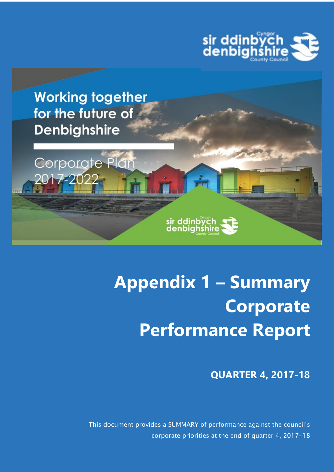



Corporate Plan

2017-202



sir ddinbych<br>denbighshire

**QUARTER 4, 2017-18**

This document provides a SUMMARY of performance against the council's corporate priorities at the end of quarter 4, 2017-18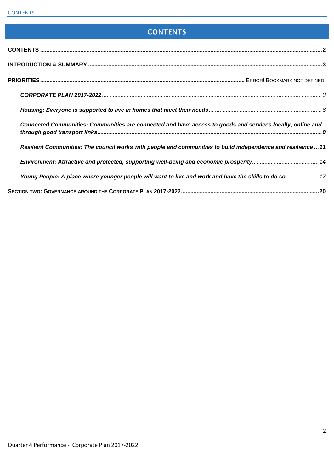# **CONTENTS**

<span id="page-1-0"></span>

| Connected Communities: Communities are connected and have access to goods and services locally, online and    |  |
|---------------------------------------------------------------------------------------------------------------|--|
| Resilient Communities: The council works with people and communities to build independence and resilience  11 |  |
|                                                                                                               |  |
| Young People: A place where younger people will want to live and work and have the skills to do so  17        |  |
|                                                                                                               |  |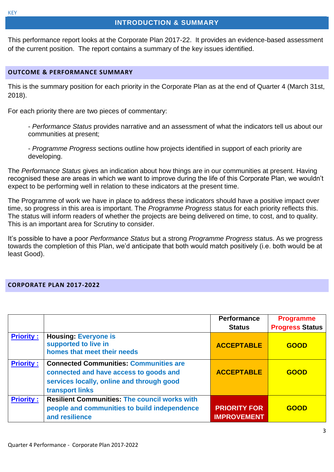## **INTRODUCTION & SUMMARY**

<span id="page-2-0"></span>This performance report looks at the Corporate Plan 2017-22. It provides an evidence-based assessment of the current position. The report contains a summary of the key issues identified.

#### **OUTCOME & PERFORMANCE SUMMARY**

This is the summary position for each priority in the Corporate Plan as at the end of Quarter 4 (March 31st, 2018).

For each priority there are two pieces of commentary:

- *Performance Status* provides narrative and an assessment of what the indicators tell us about our communities at present;

- *Programme Progress* sections outline how projects identified in support of each priority are developing.

The *Performance Status* gives an indication about how things are in our communities at present. Having recognised these are areas in which we want to improve during the life of this Corporate Plan, we wouldn't expect to be performing well in relation to these indicators at the present time.

The Programme of work we have in place to address these indicators should have a positive impact over time, so progress in this area is important. The *Programme Progress* status for each priority reflects this. The status will inform readers of whether the projects are being delivered on time, to cost, and to quality. This is an important area for Scrutiny to consider.

It's possible to have a poor *Performance Status* but a strong *Programme Progress* status. As we progress towards the completion of this Plan, we'd anticipate that both would match positively (i.e. both would be at least Good).

#### <span id="page-2-1"></span>**CORPORATE PLAN 2017-2022**

|                  |                                                                                                                                                         | <b>Performance</b><br><b>Status</b>       | <b>Programme</b><br><b>Progress Status</b> |
|------------------|---------------------------------------------------------------------------------------------------------------------------------------------------------|-------------------------------------------|--------------------------------------------|
| <b>Priority:</b> | <b>Housing: Everyone is</b><br>supported to live in<br>homes that meet their needs                                                                      | <b>ACCEPTABLE</b>                         | <b>GOOD</b>                                |
| <b>Priority:</b> | <b>Connected Communities: Communities are</b><br>connected and have access to goods and<br>services locally, online and through good<br>transport links | <b>ACCEPTABLE</b>                         | <b>GOOD</b>                                |
| <b>Priority:</b> | <b>Resilient Communities: The council works with</b><br>people and communities to build independence<br>and resilience                                  | <b>PRIORITY FOR</b><br><b>IMPROVEMENT</b> | <b>GOOD</b>                                |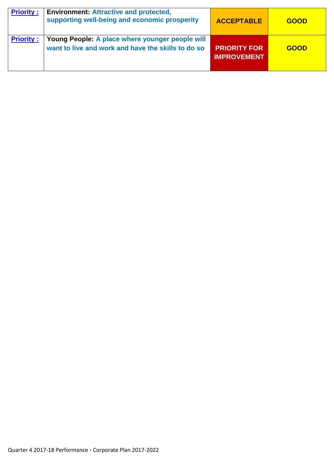| <b>Priority:</b> | <b>Environment: Attractive and protected,</b><br>supporting well-being and economic prosperity        | <b>ACCEPTABLE</b>                         | <b>GOOD</b> |
|------------------|-------------------------------------------------------------------------------------------------------|-------------------------------------------|-------------|
| <b>Priority:</b> | Young People: A place where younger people will<br>want to live and work and have the skills to do so | <b>PRIORITY FOR</b><br><b>IMPROVEMENT</b> | <b>GOOD</b> |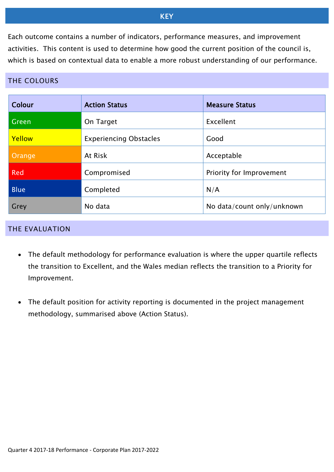# **KEY**

Each outcome contains a number of indicators, performance measures, and improvement activities. This content is used to determine how good the current position of the council is, which is based on contextual data to enable a more robust understanding of our performance.

# THE COLOURS

| Colour      | <b>Action Status</b>          | <b>Measure Status</b>      |
|-------------|-------------------------------|----------------------------|
| Green       | On Target                     | Excellent                  |
| Yellow      | <b>Experiencing Obstacles</b> | Good                       |
| Orange      | At Risk                       | Acceptable                 |
| <b>Red</b>  | Compromised                   | Priority for Improvement   |
| <b>Blue</b> | Completed                     | N/A                        |
| Grey        | No data                       | No data/count only/unknown |

#### THE EVALUATION

- The default methodology for performance evaluation is where the upper quartile reflects the transition to Excellent, and the Wales median reflects the transition to a Priority for Improvement.
- The default position for activity reporting is documented in the project management methodology, summarised above (Action Status).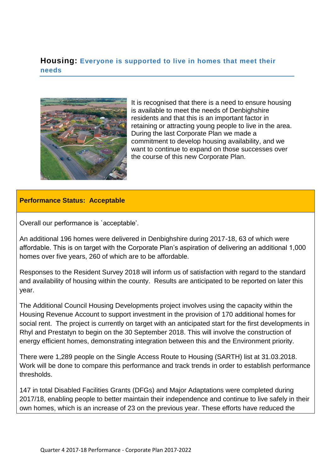# <span id="page-5-0"></span>**Housing: Everyone is supported to live in homes that meet their needs**



It is recognised that there is a need to ensure housing is available to meet the needs of Denbighshire residents and that this is an important factor in retaining or attracting young people to live in the area. During the last Corporate Plan we made a commitment to develop housing availability, and we want to continue to expand on those successes over the course of this new Corporate Plan.

## **Performance Status: Acceptable**

Overall our performance is `acceptable'.

An additional 196 homes were delivered in Denbighshire during 2017-18, 63 of which were affordable. This is on target with the Corporate Plan's aspiration of delivering an additional 1,000 homes over five years, 260 of which are to be affordable.

Responses to the Resident Survey 2018 will inform us of satisfaction with regard to the standard and availability of housing within the county. Results are anticipated to be reported on later this year.

The Additional Council Housing Developments project involves using the capacity within the Housing Revenue Account to support investment in the provision of 170 additional homes for social rent. The project is currently on target with an anticipated start for the first developments in Rhyl and Prestatyn to begin on the 30 September 2018. This will involve the construction of energy efficient homes, demonstrating integration between this and the Environment priority.

There were 1,289 people on the Single Access Route to Housing (SARTH) list at 31.03.2018. Work will be done to compare this performance and track trends in order to establish performance thresholds.

147 in total Disabled Facilities Grants (DFGs) and Major Adaptations were completed during 2017/18, enabling people to better maintain their independence and continue to live safely in their own homes, which is an increase of 23 on the previous year. These efforts have reduced the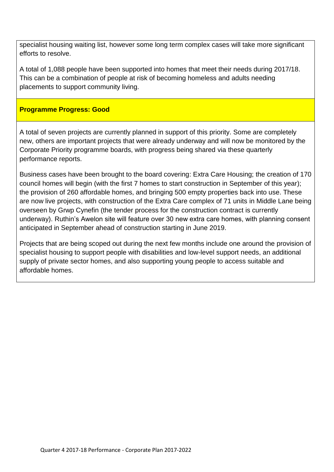specialist housing waiting list, however some long term complex cases will take more significant efforts to resolve.

A total of 1,088 people have been supported into homes that meet their needs during 2017/18. This can be a combination of people at risk of becoming homeless and adults needing placements to support community living.

# **Programme Progress: Good**

A total of seven projects are currently planned in support of this priority. Some are completely new, others are important projects that were already underway and will now be monitored by the Corporate Priority programme boards, with progress being shared via these quarterly performance reports.

Business cases have been brought to the board covering: Extra Care Housing; the creation of 170 council homes will begin (with the first 7 homes to start construction in September of this year); the provision of 260 affordable homes, and bringing 500 empty properties back into use. These are now live projects, with construction of the Extra Care complex of 71 units in Middle Lane being overseen by Grwp Cynefin (the tender process for the construction contract is currently underway). Ruthin's Awelon site will feature over 30 new extra care homes, with planning consent anticipated in September ahead of construction starting in June 2019.

Projects that are being scoped out during the next few months include one around the provision of specialist housing to support people with disabilities and low-level support needs, an additional supply of private sector homes, and also supporting young people to access suitable and affordable homes.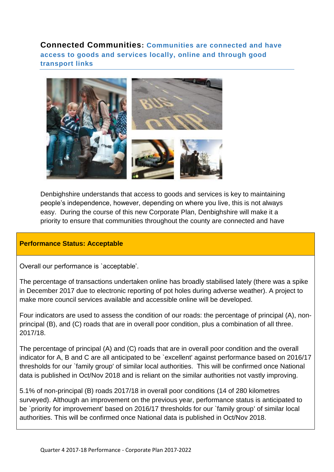<span id="page-7-0"></span>**Connected Communities: Communities are connected and have access to goods and services locally, online and through good transport links** 



Denbighshire understands that access to goods and services is key to maintaining people's independence, however, depending on where you live, this is not always easy. During the course of this new Corporate Plan, Denbighshire will make it a priority to ensure that communities throughout the county are connected and have

## **Performance Status: Acceptable**

Overall our performance is `acceptable'.

The percentage of transactions undertaken online has broadly stabilised lately (there was a spike in December 2017 due to electronic reporting of pot holes during adverse weather). A project to make more council services available and accessible online will be developed.

Four indicators are used to assess the condition of our roads: the percentage of principal (A), nonprincipal (B), and (C) roads that are in overall poor condition, plus a combination of all three. 2017/18.

The percentage of principal (A) and (C) roads that are in overall poor condition and the overall indicator for A, B and C are all anticipated to be `excellent' against performance based on 2016/17 thresholds for our `family group' of similar local authorities. This will be confirmed once National data is published in Oct/Nov 2018 and is reliant on the similar authorities not vastly improving.

5.1% of non-principal (B) roads 2017/18 in overall poor conditions (14 of 280 kilometres surveyed). Although an improvement on the previous year, performance status is anticipated to be `priority for improvement' based on 2016/17 thresholds for our `family group' of similar local authorities. This will be confirmed once National data is published in Oct/Nov 2018.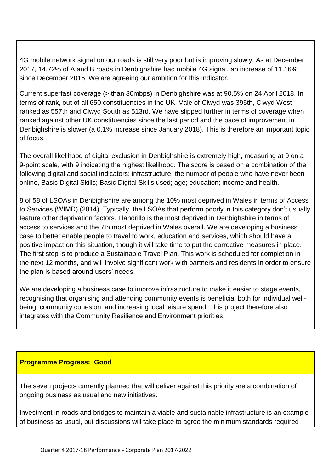4G mobile network signal on our roads is still very poor but is improving slowly. As at December 2017, 14.72% of A and B roads in Denbighshire had mobile 4G signal, an increase of 11.16% since December 2016. We are agreeing our ambition for this indicator.

Current superfast coverage (> than 30mbps) in Denbighshire was at 90.5% on 24 April 2018. In terms of rank, out of all 650 constituencies in the UK, Vale of Clwyd was 395th, Clwyd West ranked as 557th and Clwyd South as 513rd. We have slipped further in terms of coverage when ranked against other UK constituencies since the last period and the pace of improvement in Denbighshire is slower (a 0.1% increase since January 2018). This is therefore an important topic of focus.

The overall likelihood of digital exclusion in Denbighshire is extremely high, measuring at 9 on a 9-point scale, with 9 indicating the highest likelihood. The score is based on a combination of the following digital and social indicators: infrastructure, the number of people who have never been online, Basic Digital Skills; Basic Digital Skills used; age; education; income and health.

8 of 58 of LSOAs in Denbighshire are among the 10% most deprived in Wales in terms of Access to Services (WIMD) (2014). Typically, the LSOAs that perform poorly in this category don't usually feature other deprivation factors. Llandrillo is the most deprived in Denbighshire in terms of access to services and the 7th most deprived in Wales overall. We are developing a business case to better enable people to travel to work, education and services, which should have a positive impact on this situation, though it will take time to put the corrective measures in place. The first step is to produce a Sustainable Travel Plan. This work is scheduled for completion in the next 12 months, and will involve significant work with partners and residents in order to ensure the plan is based around users' needs.

We are developing a business case to improve infrastructure to make it easier to stage events, recognising that organising and attending community events is beneficial both for individual wellbeing, community cohesion, and increasing local leisure spend. This project therefore also integrates with the Community Resilience and Environment priorities.

# **Programme Progress: Good**

The seven projects currently planned that will deliver against this priority are a combination of ongoing business as usual and new initiatives.

Investment in roads and bridges to maintain a viable and sustainable infrastructure is an example of business as usual, but discussions will take place to agree the minimum standards required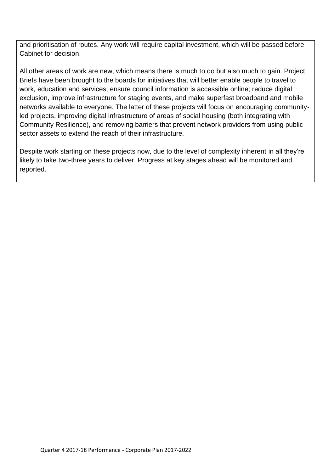and prioritisation of routes. Any work will require capital investment, which will be passed before Cabinet for decision.

All other areas of work are new, which means there is much to do but also much to gain. Project Briefs have been brought to the boards for initiatives that will better enable people to travel to work, education and services; ensure council information is accessible online; reduce digital exclusion, improve infrastructure for staging events, and make superfast broadband and mobile networks available to everyone. The latter of these projects will focus on encouraging communityled projects, improving digital infrastructure of areas of social housing (both integrating with Community Resilience), and removing barriers that prevent network providers from using public sector assets to extend the reach of their infrastructure.

Despite work starting on these projects now, due to the level of complexity inherent in all they're likely to take two-three years to deliver. Progress at key stages ahead will be monitored and reported.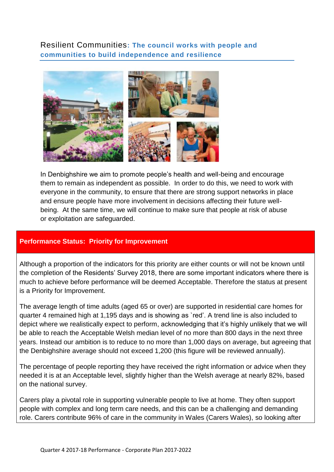<span id="page-10-0"></span>Resilient Communities**: The council works with people and communities to build independence and resilience**



In Denbighshire we aim to promote people's health and well-being and encourage them to remain as independent as possible. In order to do this, we need to work with everyone in the community, to ensure that there are strong support networks in place and ensure people have more involvement in decisions affecting their future wellbeing. At the same time, we will continue to make sure that people at risk of abuse or exploitation are safeguarded.

## **Performance Status: Priority for Improvement**

Although a proportion of the indicators for this priority are either counts or will not be known until the completion of the Residents' Survey 2018, there are some important indicators where there is much to achieve before performance will be deemed Acceptable. Therefore the status at present is a Priority for Improvement.

The average length of time adults (aged 65 or over) are supported in residential care homes for quarter 4 remained high at 1,195 days and is showing as `red'. A trend line is also included to depict where we realistically expect to perform, acknowledging that it's highly unlikely that we will be able to reach the Acceptable Welsh median level of no more than 800 days in the next three years. Instead our ambition is to reduce to no more than 1,000 days on average, but agreeing that the Denbighshire average should not exceed 1,200 (this figure will be reviewed annually).

The percentage of people reporting they have received the right information or advice when they needed it is at an Acceptable level, slightly higher than the Welsh average at nearly 82%, based on the national survey.

Carers play a pivotal role in supporting vulnerable people to live at home. They often support people with complex and long term care needs, and this can be a challenging and demanding role. Carers contribute 96% of care in the community in Wales (Carers Wales), so looking after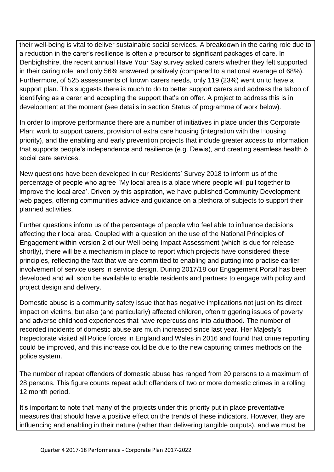their well-being is vital to deliver sustainable social services. A breakdown in the caring role due to a reduction in the carer's resilience is often a precursor to significant packages of care. In Denbighshire, the recent annual Have Your Say survey asked carers whether they felt supported in their caring role, and only 56% answered positively (compared to a national average of 68%). Furthermore, of 525 assessments of known carers needs, only 119 (23%) went on to have a support plan. This suggests there is much to do to better support carers and address the taboo of identifying as a carer and accepting the support that's on offer. A project to address this is in development at the moment (see details in section Status of programme of work below).

In order to improve performance there are a number of initiatives in place under this Corporate Plan: work to support carers, provision of extra care housing (integration with the Housing priority), and the enabling and early prevention projects that include greater access to information that supports people's independence and resilience (e.g. Dewis), and creating seamless health & social care services.

New questions have been developed in our Residents' Survey 2018 to inform us of the percentage of people who agree `My local area is a place where people will pull together to improve the local area'. Driven by this aspiration, we have published Community Development web pages, offering communities advice and guidance on a plethora of subjects to support their planned activities.

Further questions inform us of the percentage of people who feel able to influence decisions affecting their local area. Coupled with a question on the use of the National Principles of Engagement within version 2 of our Well-being Impact Assessment (which is due for release shortly), there will be a mechanism in place to report which projects have considered these principles, reflecting the fact that we are committed to enabling and putting into practise earlier involvement of service users in service design. During 2017/18 our Engagement Portal has been developed and will soon be available to enable residents and partners to engage with policy and project design and delivery.

Domestic abuse is a community safety issue that has negative implications not just on its direct impact on victims, but also (and particularly) affected children, often triggering issues of poverty and adverse childhood experiences that have repercussions into adulthood. The number of recorded incidents of domestic abuse are much increased since last year. Her Majesty's Inspectorate visited all Police forces in England and Wales in 2016 and found that crime reporting could be improved, and this increase could be due to the new capturing crimes methods on the police system.

The number of repeat offenders of domestic abuse has ranged from 20 persons to a maximum of 28 persons. This figure counts repeat adult offenders of two or more domestic crimes in a rolling 12 month period.

It's important to note that many of the projects under this priority put in place preventative measures that should have a positive effect on the trends of these indicators. However, they are influencing and enabling in their nature (rather than delivering tangible outputs), and we must be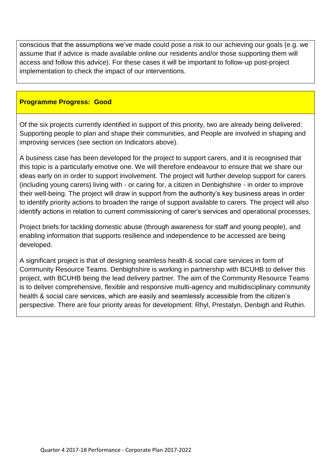conscious that the assumptions we've made could pose a risk to our achieving our goals (e.g. we assume that if advice is made available online our residents and/or those supporting them will access and follow this advice). For these cases it will be important to follow-up post-project implementation to check the impact of our interventions.

#### **Programme Progress: Good**

Of the six projects currently identified in support of this priority, two are already being delivered: Supporting people to plan and shape their communities, and People are involved in shaping and improving services (see section on Indicators above).

A business case has been developed for the project to support carers, and it is recognised that this topic is a particularly emotive one. We will therefore endeavour to ensure that we share our ideas early on in order to support involvement. The project will further develop support for carers (including young carers) living with - or caring for, a citizen in Denbighshire - in order to improve their well-being. The project will draw in support from the authority's key business areas in order to identify priority actions to broaden the range of support available to carers. The project will also identify actions in relation to current commissioning of carer's services and operational processes.

Project briefs for tackling domestic abuse (through awareness for staff and young people), and enabling information that supports resilience and independence to be accessed are being developed.

A significant project is that of designing seamless health & social care services in form of Community Resource Teams. Denbighshire is working in partnership with BCUHB to deliver this project, with BCUHB being the lead delivery partner. The aim of the Community Resource Teams is to deliver comprehensive, flexible and responsive multi-agency and multidisciplinary community health & social care services, which are easily and seamlessly accessible from the citizen's perspective. There are four priority areas for development: Rhyl, Prestatyn, Denbigh and Ruthin.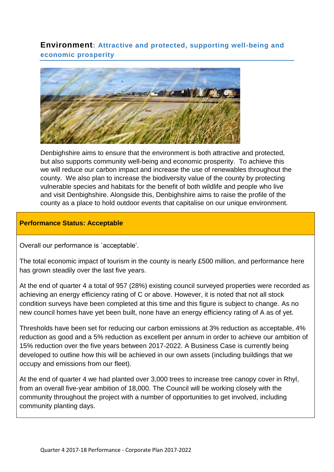<span id="page-13-0"></span>**Environment: Attractive and protected, supporting well-being and economic prosperity** 



Denbighshire aims to ensure that the environment is both attractive and protected, but also supports community well-being and economic prosperity. To achieve this we will reduce our carbon impact and increase the use of renewables throughout the county. We also plan to increase the biodiversity value of the county by protecting vulnerable species and habitats for the benefit of both wildlife and people who live and visit Denbighshire. Alongside this, Denbighshire aims to raise the profile of the county as a place to hold outdoor events that capitalise on our unique environment.

## **Performance Status: Acceptable**

Overall our performance is `acceptable'.

The total economic impact of tourism in the county is nearly £500 million, and performance here has grown steadily over the last five years.

At the end of quarter 4 a total of 957 (28%) existing council surveyed properties were recorded as achieving an energy efficiency rating of C or above. However, it is noted that not all stock condition surveys have been completed at this time and this figure is subject to change. As no new council homes have yet been built, none have an energy efficiency rating of A as of yet.

Thresholds have been set for reducing our carbon emissions at 3% reduction as acceptable, 4% reduction as good and a 5% reduction as excellent per annum in order to achieve our ambition of 15% reduction over the five years between 2017-2022. A Business Case is currently being developed to outline how this will be achieved in our own assets (including buildings that we occupy and emissions from our fleet).

At the end of quarter 4 we had planted over 3,000 trees to increase tree canopy cover in Rhyl, from an overall five-year ambition of 18,000. The Council will be working closely with the community throughout the project with a number of opportunities to get involved, including community planting days.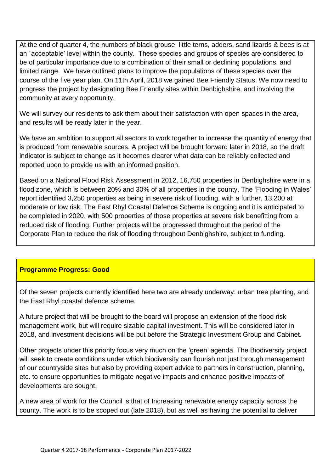At the end of quarter 4, the numbers of black grouse, little terns, adders, sand lizards & bees is at an `acceptable' level within the county. These species and groups of species are considered to be of particular importance due to a combination of their small or declining populations, and limited range. We have outlined plans to improve the populations of these species over the course of the five year plan. On 11th April, 2018 we gained Bee Friendly Status. We now need to progress the project by designating Bee Friendly sites within Denbighshire, and involving the community at every opportunity.

We will survey our residents to ask them about their satisfaction with open spaces in the area, and results will be ready later in the year.

We have an ambition to support all sectors to work together to increase the quantity of energy that is produced from renewable sources. A project will be brought forward later in 2018, so the draft indicator is subject to change as it becomes clearer what data can be reliably collected and reported upon to provide us with an informed position.

Based on a National Flood Risk Assessment in 2012, 16,750 properties in Denbighshire were in a flood zone, which is between 20% and 30% of all properties in the county. The 'Flooding in Wales' report identified 3,250 properties as being in severe risk of flooding, with a further, 13,200 at moderate or low risk. The East Rhyl Coastal Defence Scheme is ongoing and it is anticipated to be completed in 2020, with 500 properties of those properties at severe risk benefitting from a reduced risk of flooding. Further projects will be progressed throughout the period of the Corporate Plan to reduce the risk of flooding throughout Denbighshire, subject to funding.

# **Programme Progress: Good**

Of the seven projects currently identified here two are already underway: urban tree planting, and the East Rhyl coastal defence scheme.

A future project that will be brought to the board will propose an extension of the flood risk management work, but will require sizable capital investment. This will be considered later in 2018, and investment decisions will be put before the Strategic Investment Group and Cabinet.

Other projects under this priority focus very much on the 'green' agenda. The Biodiversity project will seek to create conditions under which biodiversity can flourish not just through management of our countryside sites but also by providing expert advice to partners in construction, planning, etc. to ensure opportunities to mitigate negative impacts and enhance positive impacts of developments are sought.

A new area of work for the Council is that of Increasing renewable energy capacity across the county. The work is to be scoped out (late 2018), but as well as having the potential to deliver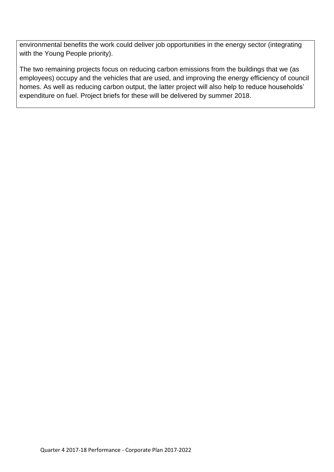environmental benefits the work could deliver job opportunities in the energy sector (integrating with the Young People priority).

The two remaining projects focus on reducing carbon emissions from the buildings that we (as employees) occupy and the vehicles that are used, and improving the energy efficiency of council homes. As well as reducing carbon output, the latter project will also help to reduce households' expenditure on fuel. Project briefs for these will be delivered by summer 2018.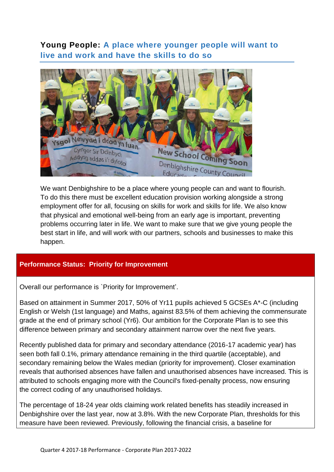# <span id="page-16-0"></span>**Young People: A place where younger people will want to live and work and have the skills to do so**



We want Denbighshire to be a place where young people can and want to flourish. To do this there must be excellent education provision working alongside a strong employment offer for all, focusing on skills for work and skills for life. We also know that physical and emotional well-being from an early age is important, preventing problems occurring later in life. We want to make sure that we give young people the best start in life, and will work with our partners, schools and businesses to make this happen.

## **Performance Status: Priority for Improvement**

Overall our performance is `Priority for Improvement'.

Based on attainment in Summer 2017, 50% of Yr11 pupils achieved 5 GCSEs A\*-C (including English or Welsh (1st language) and Maths, against 83.5% of them achieving the commensurate grade at the end of primary school (Yr6). Our ambition for the Corporate Plan is to see this difference between primary and secondary attainment narrow over the next five years.

Recently published data for primary and secondary attendance (2016-17 academic year) has seen both fall 0.1%, primary attendance remaining in the third quartile (acceptable), and secondary remaining below the Wales median (priority for improvement). Closer examination reveals that authorised absences have fallen and unauthorised absences have increased. This is attributed to schools engaging more with the Council's fixed-penalty process, now ensuring the correct coding of any unauthorised holidays.

The percentage of 18-24 year olds claiming work related benefits has steadily increased in Denbighshire over the last year, now at 3.8%. With the new Corporate Plan, thresholds for this measure have been reviewed. Previously, following the financial crisis, a baseline for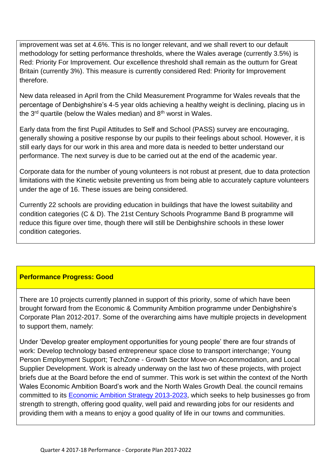improvement was set at 4.6%. This is no longer relevant, and we shall revert to our default methodology for setting performance thresholds, where the Wales average (currently 3.5%) is Red: Priority For Improvement. Our excellence threshold shall remain as the outturn for Great Britain (currently 3%). This measure is currently considered Red: Priority for Improvement therefore.

New data released in April from the Child Measurement Programme for Wales reveals that the percentage of Denbighshire's 4-5 year olds achieving a healthy weight is declining, placing us in the  $3<sup>rd</sup>$  quartile (below the Wales median) and  $8<sup>th</sup>$  worst in Wales.

Early data from the first Pupil Attitudes to Self and School (PASS) survey are encouraging, generally showing a positive response by our pupils to their feelings about school. However, it is still early days for our work in this area and more data is needed to better understand our performance. The next survey is due to be carried out at the end of the academic year.

Corporate data for the number of young volunteers is not robust at present, due to data protection limitations with the Kinetic website preventing us from being able to accurately capture volunteers under the age of 16. These issues are being considered.

Currently 22 schools are providing education in buildings that have the lowest suitability and condition categories (C & D). The 21st Century Schools Programme Band B programme will reduce this figure over time, though there will still be Denbighshire schools in these lower condition categories.

# **Performance Progress: Good**

There are 10 projects currently planned in support of this priority, some of which have been brought forward from the Economic & Community Ambition programme under Denbighshire's Corporate Plan 2012-2017. Some of the overarching aims have multiple projects in development to support them, namely:

Under 'Develop greater employment opportunities for young people' there are four strands of work: Develop technology based entrepreneur space close to transport interchange; Young Person Employment Support; TechZone - Growth Sector Move-on Accommodation, and Local Supplier Development. Work is already underway on the last two of these projects, with project briefs due at the Board before the end of summer. This work is set within the context of the North Wales Economic Ambition Board's work and the North Wales Growth Deal. the council remains committed to its [Economic Ambition Strategy 2013-2023,](https://www.denbighshire.gov.uk/en/your-council/strategies-plans-and-policies/corporate-strategies/economic-and-community-ambition-strategy.aspx) which seeks to help businesses go from strength to strength, offering good quality, well paid and rewarding jobs for our residents and providing them with a means to enjoy a good quality of life in our towns and communities.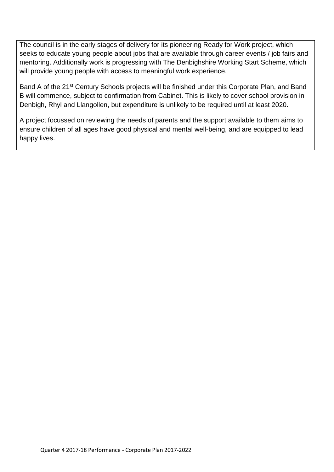The council is in the early stages of delivery for its pioneering Ready for Work project, which seeks to educate young people about jobs that are available through career events / job fairs and mentoring. Additionally work is progressing with The Denbighshire Working Start Scheme, which will provide young people with access to meaningful work experience.

Band A of the 21<sup>st</sup> Century Schools projects will be finished under this Corporate Plan, and Band B will commence, subject to confirmation from Cabinet. This is likely to cover school provision in Denbigh, Rhyl and Llangollen, but expenditure is unlikely to be required until at least 2020.

A project focussed on reviewing the needs of parents and the support available to them aims to ensure children of all ages have good physical and mental well-being, and are equipped to lead happy lives.